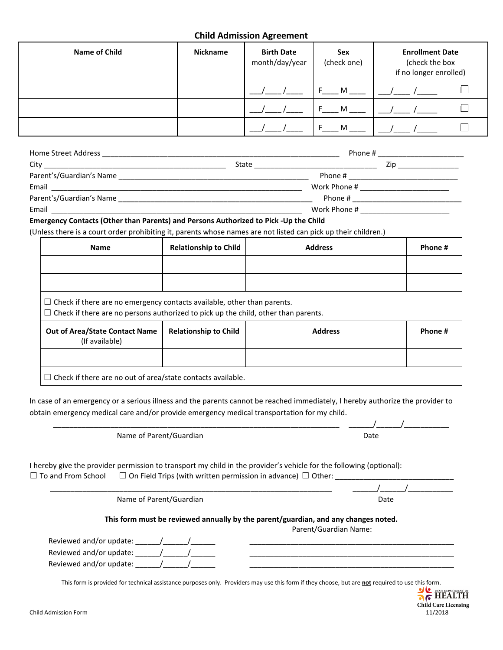## **Child Admission Agreement**

| Name of Child | <b>Nickname</b> | <b>Birth Date</b><br>month/day/year | Sex<br>(check one) | <b>Enrollment Date</b><br>(check the box<br>if no longer enrolled) |
|---------------|-----------------|-------------------------------------|--------------------|--------------------------------------------------------------------|
|               |                 |                                     | м                  |                                                                    |
|               |                 |                                     | M                  |                                                                    |
|               |                 |                                     | м                  |                                                                    |

| Home Street Address                                                                                    |       | Phone #      |  |  |
|--------------------------------------------------------------------------------------------------------|-------|--------------|--|--|
| City                                                                                                   | State | Zin          |  |  |
| Parent's/Guardian's Name<br>the control of the control of the control of the control of the control of |       | Phone #      |  |  |
| Email                                                                                                  |       | Work Phone # |  |  |
| Parent's/Guardian's Name                                                                               |       | Phone #      |  |  |
| Email                                                                                                  |       | Work Phone # |  |  |

#### **Emergency Contacts (Other than Parents) and Persons Authorized to Pick -Up the Child**

(Unless there is a court order prohibiting it, parents whose names are not listed can pick up their children.)

| <b>Name</b>                                                                                                                                                                 | <b>Relationship to Child</b> | <b>Address</b> | Phone # |  |
|-----------------------------------------------------------------------------------------------------------------------------------------------------------------------------|------------------------------|----------------|---------|--|
|                                                                                                                                                                             |                              |                |         |  |
|                                                                                                                                                                             |                              |                |         |  |
| $\Box$ Check if there are no emergency contacts available, other than parents.<br>$\Box$ Check if there are no persons authorized to pick up the child, other than parents. |                              |                |         |  |
| <b>Out of Area/State Contact Name</b><br>(If available)                                                                                                                     | <b>Relationship to Child</b> | <b>Address</b> | Phone # |  |
|                                                                                                                                                                             |                              |                |         |  |
|                                                                                                                                                                             |                              |                |         |  |

In case of an emergency or a serious illness and the parents cannot be reached immediately, I hereby authorize the provider to obtain emergency medical care and/or provide emergency medical transportation for my child.

\_\_\_\_\_\_\_\_\_\_\_\_\_\_\_\_\_\_\_\_\_\_\_\_\_\_\_\_\_\_\_\_\_\_\_\_\_\_\_\_\_\_\_\_\_\_\_\_\_\_\_\_\_\_\_\_\_\_\_\_\_\_\_\_\_\_\_\_\_\_ \_\_\_\_\_\_/\_\_\_\_\_\_/\_\_\_\_\_\_\_\_\_\_\_ Name of Parent/Guardian Date

I hereby give the provider permission to transport my child in the provider's vehicle for the following (optional):  $\Box$  To and From School  $\Box$  On Field Trips (with written permission in advance)  $\Box$  Other:

Name of Parent/Guardian Date by a state of Parent Control of Parent Control of Parent Control of Parent Control of Date

### **This form must be reviewed annually by the parent/guardian, and any changes noted.**

\_\_\_\_\_\_\_\_\_\_\_\_\_\_\_\_\_\_\_\_\_\_\_\_\_\_\_\_\_\_\_\_\_\_\_\_\_\_\_\_\_\_\_\_\_\_\_\_\_\_\_\_\_\_\_\_\_\_\_\_\_\_\_\_\_\_\_\_\_ \_\_\_\_\_\_/\_\_\_\_\_\_/\_\_\_\_\_\_\_\_\_\_\_

Parent/Guardian Name:

| Reviewed and/or update: |  |
|-------------------------|--|
| Reviewed and/or update: |  |
| Reviewed and/or update: |  |

This form is provided for technical assistance purposes only. Providers may use this form if they choose, but are **not** required to use this form.<br>THEALTH